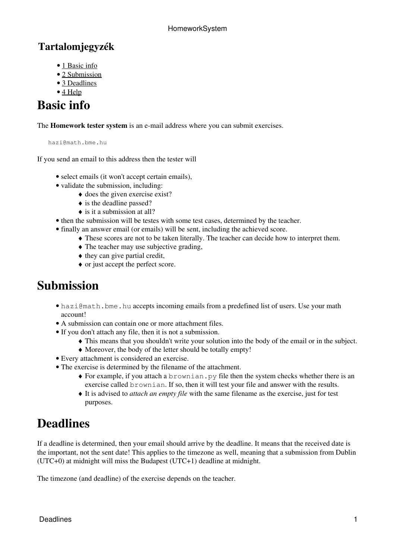#### **Tartalomjegyzék**

- [1 Basic info](http://wiki.math.bme.hu#Basic_info)
- [2 Submission](http://wiki.math.bme.hu#Submission)
- [3 Deadlines](http://wiki.math.bme.hu#Deadlines)
- [4 Help](http://wiki.math.bme.hu#Help)

#### **Basic info**

The **Homework tester system** is an e-mail address where you can submit exercises.

hazi@math.bme.hu

If you send an email to this address then the tester will

- select emails (it won't accept certain emails),
- validate the submission, including:
	- ♦ does the given exercise exist?
	- $\bullet$  is the deadline passed?
	- $\bullet$  is it a submission at all?
- then the submission will be testes with some test cases, determined by the teacher.
- finally an answer email (or emails) will be sent, including the achieved score.
	- ♦ These scores are not to be taken literally. The teacher can decide how to interpret them.
	- $\triangle$  The teacher may use subjective grading,
	- ♦ they can give partial credit,
	- ♦ or just accept the perfect score.

## **Submission**

- hazi@math.bme.hu accepts incoming emails from a predefined list of users. Use your math account!
- A submission can contain one or more attachment files.
- If you don't attach any file, then it is not a submission.
	- ♦ This means that you shouldn't write your solution into the body of the email or in the subject.
	- ♦ Moreover, the body of the letter should be totally empty!
- Every attachment is considered an exercise.
- The exercise is determined by the filename of the attachment.
	- For example, if you attach a brownian.py file then the system checks whether there is an ♦ exercise called brownian. If so, then it will test your file and answer with the results.
	- It is advised to *attach an empty file* with the same filename as the exercise, just for test ♦ purposes.

## **Deadlines**

If a deadline is determined, then your email should arrive by the deadline. It means that the received date is the important, not the sent date! This applies to the timezone as well, meaning that a submission from Dublin (UTC+0) at midnight will miss the Budapest (UTC+1) deadline at midnight.

The timezone (and deadline) of the exercise depends on the teacher.